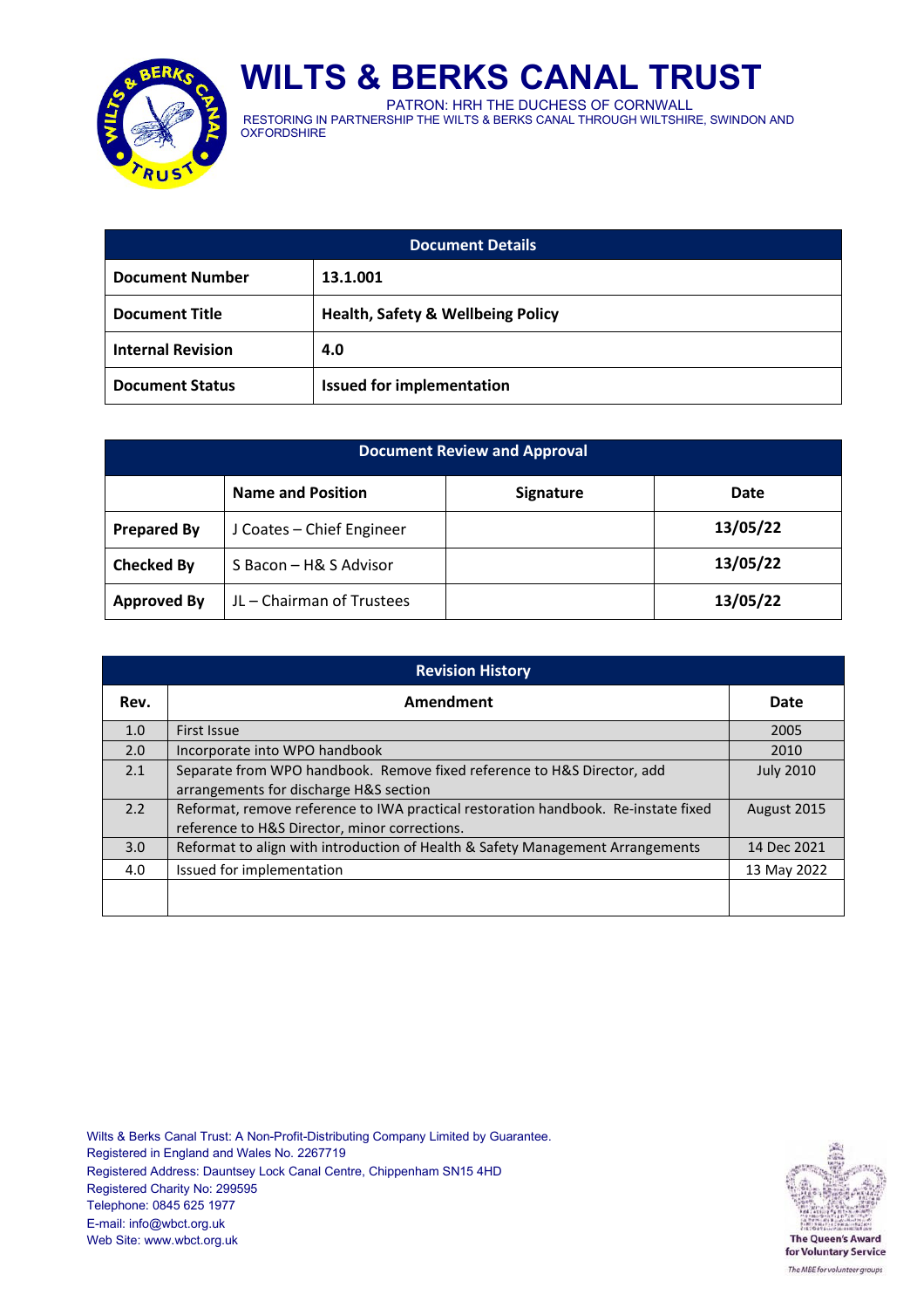

**WILTS & BERKS CANAL TRUST**

PATRON: HRH THE DUCHESS OF CORNWALL RESTORING IN PARTNERSHIP THE WILTS & BERKS CANAL THROUGH WILTSHIRE, SWINDON AND OXFORDSHIRE

| <b>Document Details</b>  |                                              |  |  |
|--------------------------|----------------------------------------------|--|--|
| <b>Document Number</b>   | 13.1.001                                     |  |  |
| <b>Document Title</b>    | <b>Health, Safety &amp; Wellbeing Policy</b> |  |  |
| <b>Internal Revision</b> | 4.0                                          |  |  |
| <b>Document Status</b>   | <b>Issued for implementation</b>             |  |  |

| <b>Document Review and Approval</b> |                           |                  |          |  |  |
|-------------------------------------|---------------------------|------------------|----------|--|--|
|                                     | <b>Name and Position</b>  | <b>Signature</b> | Date     |  |  |
| <b>Prepared By</b>                  | J Coates - Chief Engineer |                  | 13/05/22 |  |  |
| <b>Checked By</b>                   | S Bacon - H& S Advisor    |                  | 13/05/22 |  |  |
| <b>Approved By</b>                  | JL - Chairman of Trustees |                  | 13/05/22 |  |  |

| <b>Revision History</b> |                                                                                                                                     |                  |  |
|-------------------------|-------------------------------------------------------------------------------------------------------------------------------------|------------------|--|
| Rev.                    | Amendment                                                                                                                           | Date             |  |
| 1.0                     | <b>First Issue</b>                                                                                                                  | 2005             |  |
| 2.0                     | Incorporate into WPO handbook                                                                                                       | 2010             |  |
| 2.1                     | Separate from WPO handbook. Remove fixed reference to H&S Director, add<br>arrangements for discharge H&S section                   | <b>July 2010</b> |  |
| 2.2                     | Reformat, remove reference to IWA practical restoration handbook. Re-instate fixed<br>reference to H&S Director, minor corrections. | August 2015      |  |
| 3.0                     | Reformat to align with introduction of Health & Safety Management Arrangements                                                      | 14 Dec 2021      |  |
| 4.0                     | Issued for implementation                                                                                                           | 13 May 2022      |  |
|                         |                                                                                                                                     |                  |  |

Wilts & Berks Canal Trust: A Non-Profit-Distributing Company Limited by Guarantee. Registered in England and Wales No. 2267719 Registered Address: Dauntsey Lock Canal Centre, Chippenham SN15 4HD Registered Charity No: 299595 Telephone: 0845 625 1977 E-mail: info@wbct.org.uk Web Site: www.wbct.org.uk